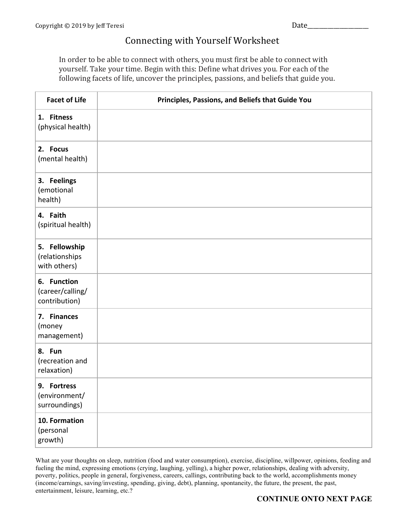## Connecting with Yourself Worksheet

In order to be able to connect with others, you must first be able to connect with yourself. Take your time. Begin with this: Define what drives you. For each of the following facets of life, uncover the principles, passions, and beliefs that guide you.

| <b>Facet of Life</b>                             | Principles, Passions, and Beliefs that Guide You |
|--------------------------------------------------|--------------------------------------------------|
| 1. Fitness<br>(physical health)                  |                                                  |
| 2. Focus<br>(mental health)                      |                                                  |
| 3. Feelings<br>(emotional<br>health)             |                                                  |
| 4. Faith<br>(spiritual health)                   |                                                  |
| 5. Fellowship<br>(relationships<br>with others)  |                                                  |
| 6. Function<br>(career/calling/<br>contribution) |                                                  |
| 7. Finances<br>(money<br>management)             |                                                  |
| 8. Fun<br>(recreation and<br>relaxation)         |                                                  |
| 9. Fortress<br>(environment/<br>surroundings)    |                                                  |
| 10. Formation<br>(personal<br>growth)            |                                                  |

What are your thoughts on sleep, nutrition (food and water consumption), exercise, discipline, willpower, opinions, feeding and fueling the mind, expressing emotions (crying, laughing, yelling), a higher power, relationships, dealing with adversity, poverty, politics, people in general, forgiveness, careers, callings, contributing back to the world, accomplishments money (income/earnings, saving/investing, spending, giving, debt), planning, spontaneity, the future, the present, the past, entertainment, leisure, learning, etc.?